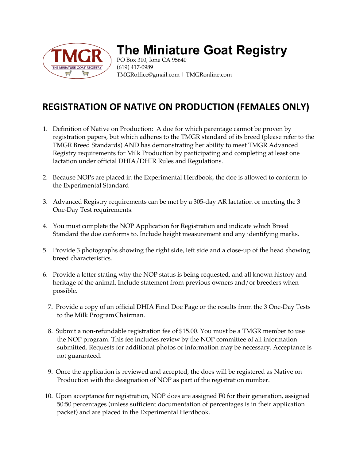

## **The Miniature Goat Registry**

PO Box 310, Ione CA 95640 (619) 417-0989 TMGRoffice@gmail.com | TMGRonline.com

## **REGISTRATION OF NATIVE ON PRODUCTION (FEMALES ONLY)**

- 1. Definition of Native on Production: A doe for which parentage cannot be proven by registration papers, but which adheres to the TMGR standard of its breed (please refer to the TMGR Breed Standards) AND has demonstrating her ability to meet TMGR Advanced Registry requirements for Milk Production by participating and completing at least one lactation under official DHIA/DHIR Rules and Regulations.
- 2. Because NOPs are placed in the Experimental Herdbook, the doe is allowed to conform to the Experimental Standard
- 3. Advanced Registry requirements can be met by a 305-day AR lactation or meeting the 3 One-Day Test requirements.
- 4. You must complete the NOP Application for Registration and indicate which Breed Standard the doe conforms to. Include height measurement and any identifying marks.
- 5. Provide 3 photographs showing the right side, left side and a close-up of the head showing breed characteristics.
- 6. Provide a letter stating why the NOP status is being requested, and all known history and heritage of the animal. Include statement from previous owners and/or breeders when possible.
	- 7. Provide a copy of an official DHIA Final Doe Page or the results from the 3 One-Day Tests to the Milk ProgramChairman.
	- 8. Submit a non-refundable registration fee of \$15.00. You must be a TMGR member to use the NOP program. This fee includes review by the NOP committee of all information submitted. Requests for additional photos or information may be necessary. Acceptance is not guaranteed.
	- 9. Once the application is reviewed and accepted, the does will be registered as Native on Production with the designation of NOP as part of the registration number.
- 10. Upon acceptance for registration, NOP does are assigned F0 for their generation, assigned 50:50 percentages (unless sufficient documentation of percentages is in their application packet) and are placed in the Experimental Herdbook.